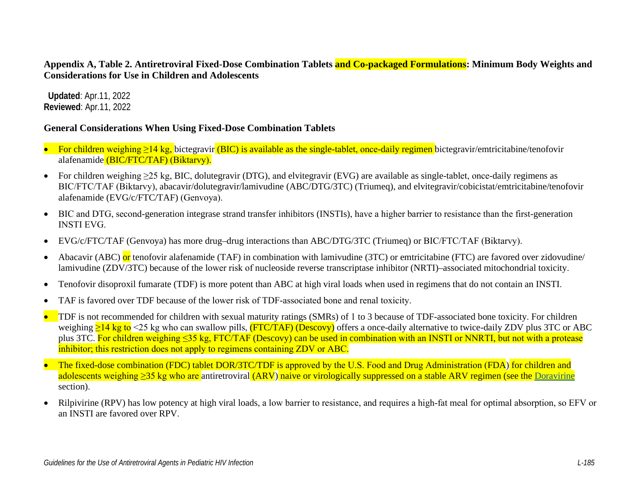**Appendix A, Table 2. Antiretroviral Fixed-Dose Combination Tablets and Co-packaged Formulations: Minimum Body Weights and Considerations for Use in Children and Adolescents**

 **Updated**: Apr.11, 2022 **Reviewed**: Apr.11, 2022

#### **General Considerations When Using Fixed-Dose Combination Tablets**

- For children weighing ≥14 kg, bictegravir (BIC) is available as the single-tablet, once-daily regimen bictegravir/emtricitabine/tenofovir alafenamide (BIC/FTC/TAF) (Biktarvy).
- For children weighing  $\geq 25$  kg, BIC, dolutegravir (DTG), and elvitegravir (EVG) are available as single-tablet, once-daily regimens as BIC/FTC/TAF (Biktarvy), abacavir/dolutegravir/lamivudine (ABC/DTG/3TC) (Triumeq), and elvitegravir/cobicistat/emtricitabine/tenofovir alafenamide (EVG/c/FTC/TAF) (Genvoya).
- BIC and DTG, second-generation integrase strand transfer inhibitors (INSTIs), have a higher barrier to resistance than the first-generation INSTI EVG.
- EVG/c/FTC/TAF (Genvoya) has more drug–drug interactions than ABC/DTG/3TC (Triumeq) or BIC/FTC/TAF (Biktarvy).
- Abacavir (ABC) or tenofovir alafenamide (TAF) in combination with lamivudine (3TC) or emtricitabine (FTC) are favored over zidovudine/ lamivudine (ZDV/3TC) because of the lower risk of nucleoside reverse transcriptase inhibitor (NRTI)–associated mitochondrial toxicity.
- Tenofovir disoproxil fumarate (TDF) is more potent than ABC at high viral loads when used in regimens that do not contain an INSTI.
- TAF is favored over TDF because of the lower risk of TDF-associated bone and renal toxicity.
- **TDF** is not recommended for children with sexual maturity ratings (SMRs) of 1 to 3 because of TDF-associated bone toxicity. For children weighing  $\geq$ 14 kg to <25 kg who can swallow pills, (FTC/TAF) (Descovy) offers a once-daily alternative to twice-daily ZDV plus 3TC or ABC plus 3TC. For children weighing ≤35 kg, FTC/TAF (Descovy) can be used in combination with an INSTI or NNRTI, but not with a protease inhibitor; this restriction does not apply to regimens containing ZDV or ABC.
- The fixed-dose combination (FDC) tablet DOR/3TC/TDF is approved by the U.S. Food and Drug Administration (FDA) for children and adolescents weighing ≥35 kg who are antiretroviral (ARV) naive or virologically suppressed on a stable ARV regimen (see the [Doravirine](https://clinicalinfo.hiv.gov/en/guidelines/pediatric-arv/doravirine) section).
- Rilpivirine (RPV) has low potency at high viral loads, a low barrier to resistance, and requires a high-fat meal for optimal absorption, so EFV or an INSTI are favored over RPV.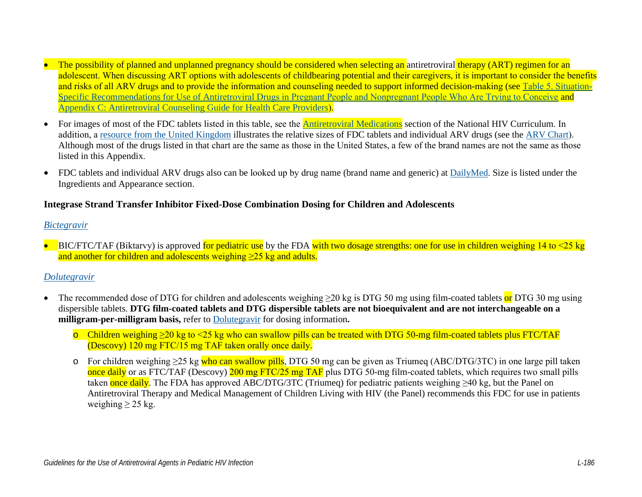- The possibility of planned and unplanned pregnancy should be considered when selecting an antiretroviral therapy (ART) regimen for an adolescent. When discussing ART options with adolescents of childbearing potential and their caregivers, it is important to consider the benefits and risks of all ARV drugs and to provide the information and counseling needed to support informed decision-making (see Table 5. [Situation](https://clinicalinfo.hiv.gov/en/guidelines/perinatal/table-5-situation-specific-recommendations-use-antiretroviral-drugs-pregnant)Specific Recommendations for Use of Antir[etroviral Drugs in Pregnant People and Nonpregnant People Who Are Trying to Conceive](https://clinicalinfo.hiv.gov/en/guidelines/perinatal/table-5-situation-specific-recommendations-use-antiretroviral-drugs-pregnant) and [Appendix C: Antiretroviral Counseling Guide for Health Care Providers](https://clinicalinfo.hiv.gov/en/guidelines/perinatal/appendix-c-antiretroviral-counseling-guide-for-health-care-providers?view=full)).
- For images of most of the FDC tablets listed in this table, see the **Antiretroviral Medications** section of the National HIV Curriculum. In addition, a [resource from the United Kingdom](http://i-base.info/guides/starting/pdf) illustrates the relative sizes of FDC tablets and individual ARV drugs (see the [ARV Chart](https://i-base.info/guides/wp-content/uploads/2019/09/Intro-ARV-chart-Oct-2019.pdf)). Although most of the drugs listed in that chart are the same as those in the United States, a few of the brand names are not the same as those listed in this Appendix.
- FDC tablets and individual ARV drugs also can be looked up by drug name (brand name and generic) at [DailyMed](https://dailymed.nlm.nih.gov/dailymed/). Size is listed under the Ingredients and Appearance section.

### **Integrase Strand Transfer Inhibitor Fixed-Dose Combination Dosing for Children and Adolescents**

#### *[Bictegravir](https://clinicalinfo.hiv.gov/en/guidelines/pediatric-arv/bictegravir)*

• BIC/FTC/TAF (Biktarvy) is approved for pediatric use by the FDA with two dosage strengths: one for use in children weighing 14 to  $\leq$  25 kg and another for children and adolescents weighing >25 kg and adults.

## *[Dolutegravir](https://clinicalinfo.hiv.gov/en/guidelines/pediatric-arv/dolutegravir)*

- The recommended dose of DTG for children and adolescents weighing  $\geq 20$  kg is DTG 50 mg using film-coated tablets or DTG 30 mg using dispersible tablets. **DTG film-coated tablets and DTG dispersible tablets are not bioequivalent and are not interchangeable on a milligram-per-milligram basis,** refer to [Dolutegravir](https://clinicalinfo.hiv.gov/en/guidelines/pediatric-arv/dolutegravir) for dosing information**.**
	- o Children weighing ≥20 kg to <25 kg who can swallow pills can be treated with DTG 50-mg film-coated tablets plus FTC/TAF (Descovy) 120 mg FTC/15 mg TAF taken orally once daily.
	- o For children weighing ≥25 kg who can swallow pills, DTG 50 mg can be given as Triumeq (ABC/DTG/3TC) in one large pill taken once daily or as FTC/TAF (Descovy) 200 mg FTC/25 mg TAF plus DTG 50-mg film-coated tablets, which requires two small pills taken once daily. The FDA has approved ABC/DTG/3TC (Triumeq) for pediatric patients weighing  $\geq 40$  kg, but the Panel on Antiretroviral Therapy and Medical Management of Children Living with HIV (the Panel) recommends this FDC for use in patients weighing  $\geq$  25 kg.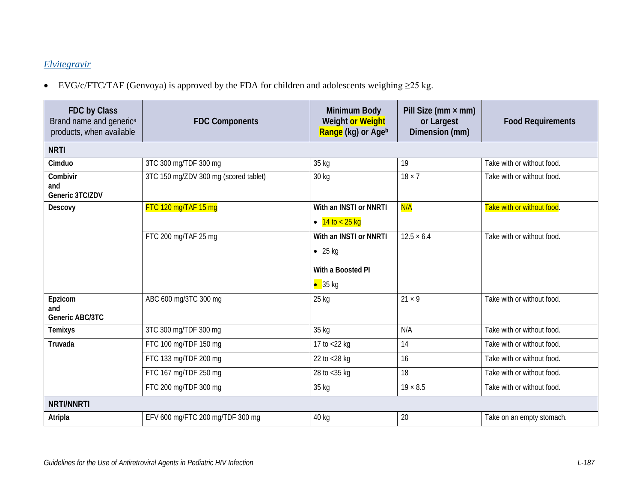# *[Elvitegravir](https://clinicalinfo.hiv.gov/en/guidelines/pediatric-arv/elvitegravir)*

• EVG/c/FTC/TAF (Genvoya) is approved by the FDA for children and adolescents weighing ≥25 kg.

| FDC by Class<br>Brand name and generic <sup>a</sup><br>products, when available | <b>FDC Components</b>                 | <b>Minimum Body</b><br>Weight or Weight<br>Range (kg) or Ageb                     | Pill Size ( $mm \times mm$ )<br>or Largest<br>Dimension (mm) | <b>Food Requirements</b>   |  |  |  |
|---------------------------------------------------------------------------------|---------------------------------------|-----------------------------------------------------------------------------------|--------------------------------------------------------------|----------------------------|--|--|--|
| <b>NRTI</b>                                                                     |                                       |                                                                                   |                                                              |                            |  |  |  |
| Cimduo                                                                          | 3TC 300 mg/TDF 300 mg                 | 35 kg                                                                             | 19                                                           | Take with or without food. |  |  |  |
| Combivir<br>and<br>Generic 3TC/ZDV                                              | 3TC 150 mg/ZDV 300 mg (scored tablet) | 30 kg                                                                             | $18 \times 7$                                                | Take with or without food. |  |  |  |
| Descovy                                                                         | FTC 120 mg/TAF 15 mg                  | With an INSTI or NNRTI<br>• $14 \text{ to} < 25 \text{ kg}$                       | N/A                                                          | Take with or without food. |  |  |  |
|                                                                                 | FTC 200 mg/TAF 25 mg                  | With an INSTI or NNRTI<br>$\bullet$ 25 kg<br>With a Boosted PI<br>$\bullet$ 35 kg | $12.5 \times 6.4$                                            | Take with or without food. |  |  |  |
| Epzicom<br>and<br>Generic ABC/3TC                                               | ABC 600 mg/3TC 300 mg                 | 25 kg                                                                             | $21 \times 9$                                                | Take with or without food. |  |  |  |
| Temixys                                                                         | 3TC 300 mg/TDF 300 mg                 | 35 kg                                                                             | N/A                                                          | Take with or without food. |  |  |  |
| Truvada                                                                         | FTC 100 mg/TDF 150 mg                 | 17 to <22 kg                                                                      | 14                                                           | Take with or without food. |  |  |  |
|                                                                                 | FTC 133 mg/TDF 200 mg                 | 22 to <28 kg                                                                      | 16                                                           | Take with or without food. |  |  |  |
|                                                                                 | FTC 167 mg/TDF 250 mg                 | 28 to $<$ 35 kg                                                                   | 18                                                           | Take with or without food. |  |  |  |
|                                                                                 | FTC 200 mg/TDF 300 mg                 | 35 kg                                                                             | $19 \times 8.5$                                              | Take with or without food. |  |  |  |
| <b>NRTI/NNRTI</b>                                                               |                                       |                                                                                   |                                                              |                            |  |  |  |
| Atripla                                                                         | EFV 600 mg/FTC 200 mg/TDF 300 mg      | 40 kg                                                                             | 20                                                           | Take on an empty stomach.  |  |  |  |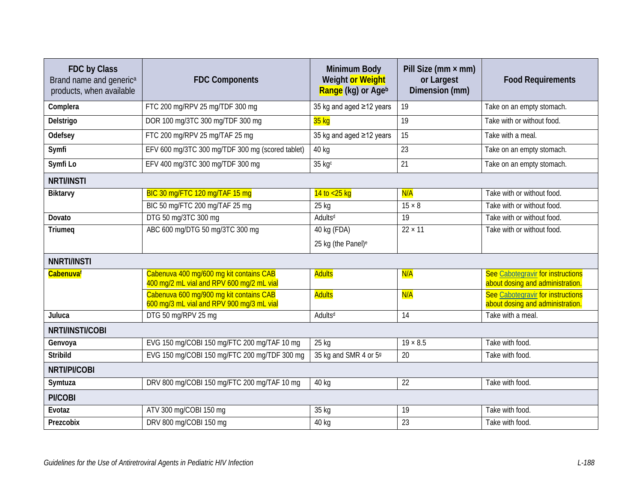| FDC by Class<br>Brand name and generic <sup>a</sup><br>products, when available | <b>FDC Components</b>                                                                | <b>Minimum Body</b><br>Weight or Weight<br>Range (kg) or Ageb | Pill Size ( $mm \times mm$ )<br>or Largest<br>Dimension (mm) | <b>Food Requirements</b>                                              |  |  |
|---------------------------------------------------------------------------------|--------------------------------------------------------------------------------------|---------------------------------------------------------------|--------------------------------------------------------------|-----------------------------------------------------------------------|--|--|
| Complera                                                                        | FTC 200 mg/RPV 25 mg/TDF 300 mg                                                      | 35 kg and aged ≥12 years                                      | 19                                                           | Take on an empty stomach.                                             |  |  |
| Delstrigo                                                                       | DOR 100 mg/3TC 300 mg/TDF 300 mg                                                     | 35 kg                                                         | 19                                                           | Take with or without food.                                            |  |  |
| Odefsey                                                                         | FTC 200 mg/RPV 25 mg/TAF 25 mg                                                       | 35 kg and aged ≥12 years                                      | 15                                                           | Take with a meal.                                                     |  |  |
| Symfi                                                                           | EFV 600 mg/3TC 300 mg/TDF 300 mg (scored tablet)                                     | 40 kg                                                         | 23                                                           | Take on an empty stomach.                                             |  |  |
| Symfi Lo                                                                        | EFV 400 mg/3TC 300 mg/TDF 300 mg                                                     | 35 kgc                                                        | 21                                                           | Take on an empty stomach.                                             |  |  |
| <b>NRTI/INSTI</b>                                                               |                                                                                      |                                                               |                                                              |                                                                       |  |  |
| Biktarvy                                                                        | BIC 30 mg/FTC 120 mg/TAF 15 mg                                                       | $14$ to $<$ 25 kg                                             | N/A                                                          | Take with or without food.                                            |  |  |
|                                                                                 | BIC 50 mg/FTC 200 mg/TAF 25 mg                                                       | $25$ kg                                                       | $15 \times 8$                                                | Take with or without food.                                            |  |  |
| Dovato                                                                          | DTG 50 mg/3TC 300 mg                                                                 | Adults <sup>d</sup>                                           | 19                                                           | Take with or without food.                                            |  |  |
| Triumeq                                                                         | ABC 600 mg/DTG 50 mg/3TC 300 mg                                                      | 40 kg (FDA)                                                   | $22 \times 11$                                               | Take with or without food.                                            |  |  |
|                                                                                 |                                                                                      | 25 kg (the Panel) <sup>e</sup>                                |                                                              |                                                                       |  |  |
| <b>NNRTI/INSTI</b>                                                              |                                                                                      |                                                               |                                                              |                                                                       |  |  |
| Cabenuvaf                                                                       | Cabenuva 400 mg/600 mg kit contains CAB<br>400 mg/2 mL vial and RPV 600 mg/2 mL vial | <b>Adults</b>                                                 | N/A                                                          | See Cabotegravir for instructions<br>about dosing and administration. |  |  |
|                                                                                 | Cabenuva 600 mg/900 mg kit contains CAB<br>600 mg/3 mL vial and RPV 900 mg/3 mL vial | <b>Adults</b>                                                 | N/A                                                          | See Cabotegravir for instructions<br>about dosing and administration. |  |  |
| Juluca                                                                          | DTG 50 mg/RPV 25 mg                                                                  | Adults <sup>d</sup>                                           | 14                                                           | Take with a meal.                                                     |  |  |
| NRTI/INSTI/COBI                                                                 |                                                                                      |                                                               |                                                              |                                                                       |  |  |
| Genvoya                                                                         | EVG 150 mg/COBI 150 mg/FTC 200 mg/TAF 10 mg                                          | 25 kg                                                         | $19 \times 8.5$                                              | Take with food.                                                       |  |  |
| <b>Stribild</b>                                                                 | EVG 150 mg/COBI 150 mg/FTC 200 mg/TDF 300 mg                                         | 35 kg and SMR 4 or 59                                         | 20                                                           | Take with food.                                                       |  |  |
| NRTI/PI/COBI                                                                    |                                                                                      |                                                               |                                                              |                                                                       |  |  |
| Symtuza                                                                         | DRV 800 mg/COBI 150 mg/FTC 200 mg/TAF 10 mg                                          | 40 kg                                                         | $\overline{22}$                                              | Take with food.                                                       |  |  |
| PI/COBI                                                                         |                                                                                      |                                                               |                                                              |                                                                       |  |  |
| Evotaz                                                                          | ATV 300 mg/COBI 150 mg                                                               | 35 kg                                                         | 19                                                           | Take with food.                                                       |  |  |
| Prezcobix                                                                       | DRV 800 mg/COBI 150 mg                                                               | 40 kg                                                         | 23                                                           | Take with food.                                                       |  |  |